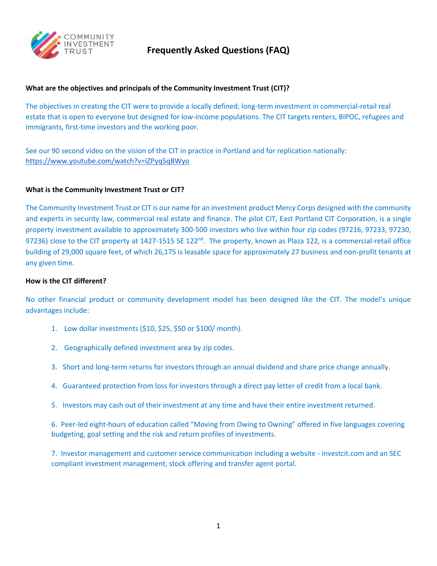

# **What are the objectives and principals of the Community Investment Trust (CIT)?**

The objectives in creating the CIT were to provide a locally defined, long-term investment in commercial-retail real estate that is open to everyone but designed for low-income populations. The CIT targets renters, BIPOC, refugees and immigrants, first-time investors and the working poor.

See our 90 second video on the vision of the CIT in practice in Portland and for replication nationally: <https://www.youtube.com/watch?v=iZPyq5qBWyo>

#### **What is the Community Investment Trust or CIT?**

The Community Investment Trust or CIT is our name for an investment product Mercy Corps designed with the community and experts in security law, commercial real estate and finance. The pilot CIT, East Portland CIT Corporation, is a single property investment available to approximately 300-500 investors who live within four zip codes (97216, 97233, 97230, 97236) close to the CIT property at 1427-1515 SE 122<sup>nd</sup>. The property, known as Plaza 122, is a commercial-retail office building of 29,000 square feet, of which 26,175 is leasable space for approximately 27 business and non-profit tenants at any given time.

#### **How is the CIT different?**

No other financial product or community development model has been designed like the CIT. The model's unique advantages include:

- 1. Low dollar investments (\$10, \$25, \$50 or \$100/ month).
- 2. Geographically defined investment area by zip codes.
- 3. Short and long-term returns for investors through an annual dividend and share price change annually.
- 4. Guaranteed protection from loss for investors through a direct pay letter of credit from a local bank.
- 5. Investors may cash out of their investment at any time and have their entire investment returned.

6. Peer-led eight-hours of education called "Moving from Owing to Owning" offered in five languages covering budgeting, goal setting and the risk and return profiles of investments.

7. Investor management and customer service communication including a website - investcit.com and an SEC compliant investment management, stock offering and transfer agent portal.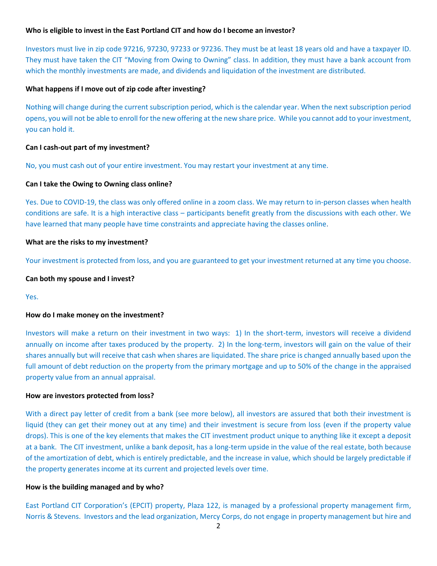# **Who is eligible to invest in the East Portland CIT and how do I become an investor?**

Investors must live in zip code 97216, 97230, 97233 or 97236. They must be at least 18 years old and have a taxpayer ID. They must have taken the CIT "Moving from Owing to Owning" class. In addition, they must have a bank account from which the monthly investments are made, and dividends and liquidation of the investment are distributed.

#### **What happens if I move out of zip code after investing?**

Nothing will change during the current subscription period, which is the calendar year. When the next subscription period opens, you will not be able to enroll for the new offering at the new share price. While you cannot add to yourinvestment, you can hold it.

# **Can I cash-out part of my investment?**

No, you must cash out of your entire investment. You may restart your investment at any time.

# **Can I take the Owing to Owning class online?**

Yes. Due to COVID-19, the class was only offered online in a zoom class. We may return to in-person classes when health conditions are safe. It is a high interactive class – participants benefit greatly from the discussions with each other. We have learned that many people have time constraints and appreciate having the classes online.

# **What are the risks to my investment?**

Your investment is protected from loss, and you are guaranteed to get your investment returned at any time you choose.

#### **Can both my spouse and I invest?**

Yes.

# **How do I make money on the investment?**

Investors will make a return on their investment in two ways: 1) In the short-term, investors will receive a dividend annually on income after taxes produced by the property. 2) In the long-term, investors will gain on the value of their shares annually but will receive that cash when shares are liquidated. The share price is changed annually based upon the full amount of debt reduction on the property from the primary mortgage and up to 50% of the change in the appraised property value from an annual appraisal.

#### **How are investors protected from loss?**

With a direct pay letter of credit from a bank (see more below), all investors are assured that both their investment is liquid (they can get their money out at any time) and their investment is secure from loss (even if the property value drops). This is one of the key elements that makes the CIT investment product unique to anything like it except a deposit at a bank. The CIT investment, unlike a bank deposit, has a long-term upside in the value of the real estate, both because of the amortization of debt, which is entirely predictable, and the increase in value, which should be largely predictable if the property generates income at its current and projected levels over time.

#### **How is the building managed and by who?**

East Portland CIT Corporation's (EPCIT) property, Plaza 122, is managed by a professional property management firm, Norris & Stevens. Investors and the lead organization, Mercy Corps, do not engage in property management but hire and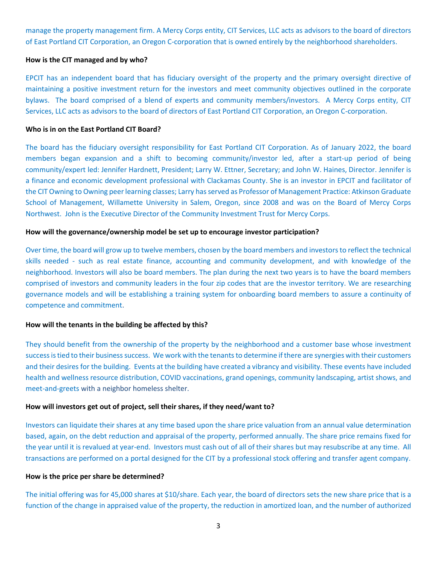manage the property management firm. A Mercy Corps entity, CIT Services, LLC acts as advisors to the board of directors of East Portland CIT Corporation, an Oregon C-corporation that is owned entirely by the neighborhood shareholders.

#### **How is the CIT managed and by who?**

EPCIT has an independent board that has fiduciary oversight of the property and the primary oversight directive of maintaining a positive investment return for the investors and meet community objectives outlined in the corporate bylaws. The board comprised of a blend of experts and community members/investors. A Mercy Corps entity, CIT Services, LLC acts as advisors to the board of directors of East Portland CIT Corporation, an Oregon C-corporation.

# **Who is in on the East Portland CIT Board?**

The board has the fiduciary oversight responsibility for East Portland CIT Corporation. As of January 2022, the board members began expansion and a shift to becoming community/investor led, after a start-up period of being community/expert led: Jennifer Hardnett, President; Larry W. Ettner, Secretary; and John W. Haines, Director. Jennifer is a finance and economic development professional with Clackamas County. She is an investor in EPCIT and facilitator of the CIT Owning to Owning peer learning classes; Larry has served as Professor of Management Practice: Atkinson Graduate School of Management, Willamette University in Salem, Oregon, since 2008 and was on the Board of Mercy Corps Northwest. John is the Executive Director of the Community Investment Trust for Mercy Corps.

# **How will the governance/ownership model be set up to encourage investor participation?**

Over time, the board will grow up to twelve members, chosen by the board members and investors to reflect the technical skills needed - such as real estate finance, accounting and community development, and with knowledge of the neighborhood. Investors will also be board members. The plan during the next two years is to have the board members comprised of investors and community leaders in the four zip codes that are the investor territory. We are researching governance models and will be establishing a training system for onboarding board members to assure a continuity of competence and commitment.

#### **How will the tenants in the building be affected by this?**

They should benefit from the ownership of the property by the neighborhood and a customer base whose investment success is tied to their business success. We work with the tenants to determine if there are synergies with their customers and their desires for the building. Events at the building have created a vibrancy and visibility. These events have included health and wellness resource distribution, COVID vaccinations, grand openings, community landscaping, artist shows, and meet-and-greets with a neighbor homeless shelter.

#### **How will investors get out of project, sell their shares, if they need/want to?**

Investors can liquidate their shares at any time based upon the share price valuation from an annual value determination based, again, on the debt reduction and appraisal of the property, performed annually. The share price remains fixed for the year until it is revalued at year-end. Investors must cash out of all of their shares but may resubscribe at any time. All transactions are performed on a portal designed for the CIT by a professional stock offering and transfer agent company.

#### **How is the price per share be determined?**

The initial offering was for 45,000 shares at \$10/share. Each year, the board of directors sets the new share price that is a function of the change in appraised value of the property, the reduction in amortized loan, and the number of authorized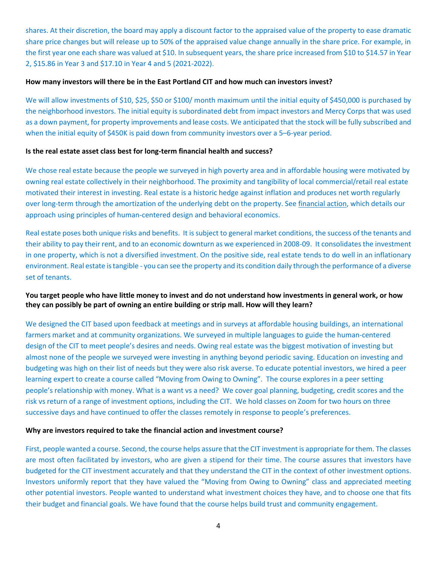shares. At their discretion, the board may apply a discount factor to the appraised value of the property to ease dramatic share price changes but will release up to 50% of the appraised value change annually in the share price. For example, in the first year one each share was valued at \$10. In subsequent years, the share price increased from \$10 to \$14.57 in Year 2, \$15.86 in Year 3 and \$17.10 in Year 4 and 5 (2021-2022).

# **How many investors will there be in the East Portland CIT and how much can investors invest?**

We will allow investments of \$10, \$25, \$50 or \$100/ month maximum until the initial equity of \$450,000 is purchased by the neighborhood investors. The initial equity is subordinated debt from impact investors and Mercy Corps that was used as a down payment, for property improvements and lease costs. We anticipated that the stock will be fully subscribed and when the initial equity of \$450K is paid down from community investors over a 5-6-year period.

#### **Is the real estate asset class best for long-term financial health and success?**

We chose real estate because the people we surveyed in high poverty area and in affordable housing were motivated by owning real estate collectively in their neighborhood. The proximity and tangibility of local commercial/retail real estate motivated their interest in investing. Real estate is a historic hedge against inflation and produces net worth regularly over long-term through the amortization of the underlying debt on the property. See [financial](http://investcit.com/Content/resources/Financial%20Action%20Policy%20Paper%2001%2029%2019.pdf) action, which details our approach using principles of human-centered design and behavioral economics.

Real estate poses both unique risks and benefits. It is subject to general market conditions, the success of the tenants and their ability to pay their rent, and to an economic downturn as we experienced in 2008-09. It consolidates the investment in one property, which is not a diversified investment. On the positive side, real estate tends to do well in an inflationary environment. Real estate is tangible - you can see the property and its condition daily through the performance of a diverse set of tenants.

# **You target people who have little money to invest and do not understand how investments in general work, or how they can possibly be part of owning an entire building or strip mall. How will they learn?**

We designed the CIT based upon feedback at meetings and in surveys at affordable housing buildings, an international farmers market and at community organizations. We surveyed in multiple languages to guide the human-centered design of the CIT to meet people's desires and needs. Owing real estate was the biggest motivation of investing but almost none of the people we surveyed were investing in anything beyond periodic saving. Education on investing and budgeting was high on their list of needs but they were also risk averse. To educate potential investors, we hired a peer learning expert to create a course called "Moving from Owing to Owning". The course explores in a peer setting people's relationship with money. What is a want vs a need? We cover goal planning, budgeting, credit scores and the risk vs return of a range of investment options, including the CIT. We hold classes on Zoom for two hours on three successive days and have continued to offer the classes remotely in response to people's preferences.

#### **Why are investors required to take the financial action and investment course?**

First, people wanted a course. Second, the course helps assure that the CIT investment is appropriate for them. The classes are most often facilitated by investors, who are given a stipend for their time. The course assures that investors have budgeted for the CIT investment accurately and that they understand the CIT in the context of other investment options. Investors uniformly report that they have valued the "Moving from Owing to Owning" class and appreciated meeting other potential investors. People wanted to understand what investment choices they have, and to choose one that fits their budget and financial goals. We have found that the course helps build trust and community engagement.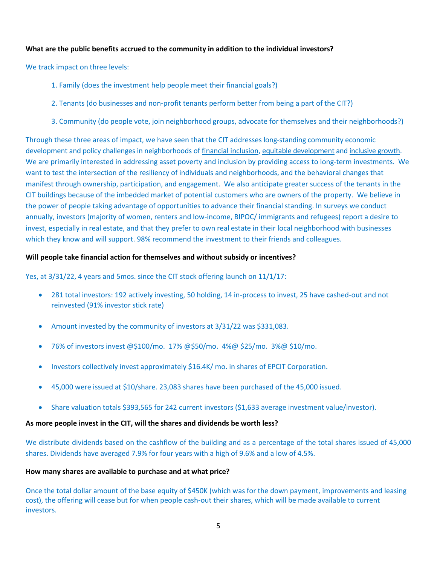# **What are the public benefits accrued to the community in addition to the individual investors?**

We track impact on three levels:

- 1. Family (does the investment help people meet their financial goals?)
- 2. Tenants (do businesses and non-profit tenants perform better from being a part of the CIT?)
- 3. Community (do people vote, join neighborhood groups, advocate for themselves and their neighborhoods?)

Through these three areas of impact, we have seen that the CIT addresses long-standing community economic development and policy challenges in neighborhoods of financial inclusion, equitable development and inclusive growth. We are primarily interested in addressing asset poverty and inclusion by providing access to long-term investments. We want to test the intersection of the resiliency of individuals and neighborhoods, and the behavioral changes that manifest through ownership, participation, and engagement. We also anticipate greater success of the tenants in the CIT buildings because of the imbedded market of potential customers who are owners of the property. We believe in the power of people taking advantage of opportunities to advance their financial standing. In surveys we conduct annually, investors (majority of women, renters and low-income, BIPOC/ immigrants and refugees) report a desire to invest, especially in real estate, and that they prefer to own real estate in their local neighborhood with businesses which they know and will support. 98% recommend the investment to their friends and colleagues.

# **Will people take financial action for themselves and without subsidy or incentives?**

Yes, at 3/31/22, 4 years and 5mos. since the CIT stock offering launch on 11/1/17:

- 281 total investors: 192 actively investing, 50 holding, 14 in-process to invest, 25 have cashed-out and not reinvested (91% investor stick rate)
- Amount invested by the community of investors at 3/31/22 was \$331,083.
- 76% of investors invest @\$100/mo. 17% @\$50/mo. 4%@ \$25/mo. 3%@ \$10/mo.
- Investors collectively invest approximately \$16.4K/ mo. in shares of EPCIT Corporation.
- 45,000 were issued at \$10/share. 23,083 shares have been purchased of the 45,000 issued.
- Share valuation totals \$393,565 for 242 current investors (\$1,633 average investment value/investor).

#### **As more people invest in the CIT, will the shares and dividends be worth less?**

We distribute dividends based on the cashflow of the building and as a percentage of the total shares issued of 45,000 shares. Dividends have averaged 7.9% for four years with a high of 9.6% and a low of 4.5%.

#### **How many shares are available to purchase and at what price?**

Once the total dollar amount of the base equity of \$450K (which was for the down payment, improvements and leasing cost), the offering will cease but for when people cash-out their shares, which will be made available to current investors.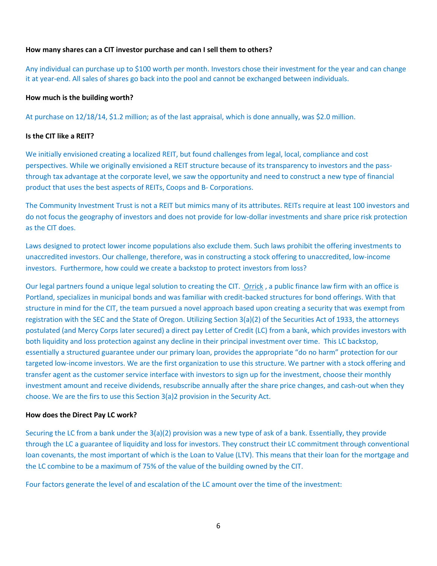# **How many shares can a CIT investor purchase and can I sell them to others?**

Any individual can purchase up to \$100 worth per month. Investors chose their investment for the year and can change it at year-end. All sales of shares go back into the pool and cannot be exchanged between individuals.

#### **How much is the building worth?**

At purchase on 12/18/14, \$1.2 million; as of the last appraisal, which is done annually, was \$2.0 million.

# **Is the CIT like a REIT?**

We initially envisioned creating a localized REIT, but found challenges from legal, local, compliance and cost perspectives. While we originally envisioned a REIT structure because of its transparency to investors and the passthrough tax advantage at the corporate level, we saw the opportunity and need to construct a new type of financial product that uses the best aspects of REITs, Coops and B- Corporations.

The Community Investment Trust is not a REIT but mimics many of its attributes. REITs require at least 100 investors and do not focus the geography of investors and does not provide for low-dollar investments and share price risk protection as the CIT does.

Laws designed to protect lower income populations also exclude them. Such laws prohibit the offering investments to unaccredited investors. Our challenge, therefore, was in constructing a stock offering to unaccredited, low-income investors. Furthermore, how could we create a backstop to protect investors from loss?

Our legal partners found a unique legal solution to creating the CIT. [Orrick](https://www.orrick.com/locations/portland), a public finance law firm with an office is Portland, specializes in municipal bonds and was familiar with credit-backed structures for bond offerings. With that structure in mind for the CIT, the team pursued a novel approach based upon creating a security that was exempt from registration with the SEC and the State of Oregon. Utilizing Section 3(a)(2) of the Securities Act of 1933, the attorneys postulated (and Mercy Corps later secured) a direct pay Letter of Credit (LC) from a bank, which provides investors with both liquidity and loss protection against any decline in their principal investment over time. This LC backstop, essentially a structured guarantee under our primary loan, provides the appropriate "do no harm" protection for our targeted low-income investors. We are the first organization to use this structure. We partner with a stock offering and transfer agent as the customer service interface with investors to sign up for the investment, choose their monthly investment amount and receive dividends, resubscribe annually after the share price changes, and cash-out when they choose. We are the firs to use this Section 3(a)2 provision in the Security Act.

#### **How does the Direct Pay LC work?**

Securing the LC from a bank under the 3(a)(2) provision was a new type of ask of a bank. Essentially, they provide through the LC a guarantee of liquidity and loss for investors. They construct their LC commitment through conventional loan covenants, the most important of which is the Loan to Value (LTV). This means that their loan for the mortgage and the LC combine to be a maximum of 75% of the value of the building owned by the CIT.

Four factors generate the level of and escalation of the LC amount over the time of the investment: